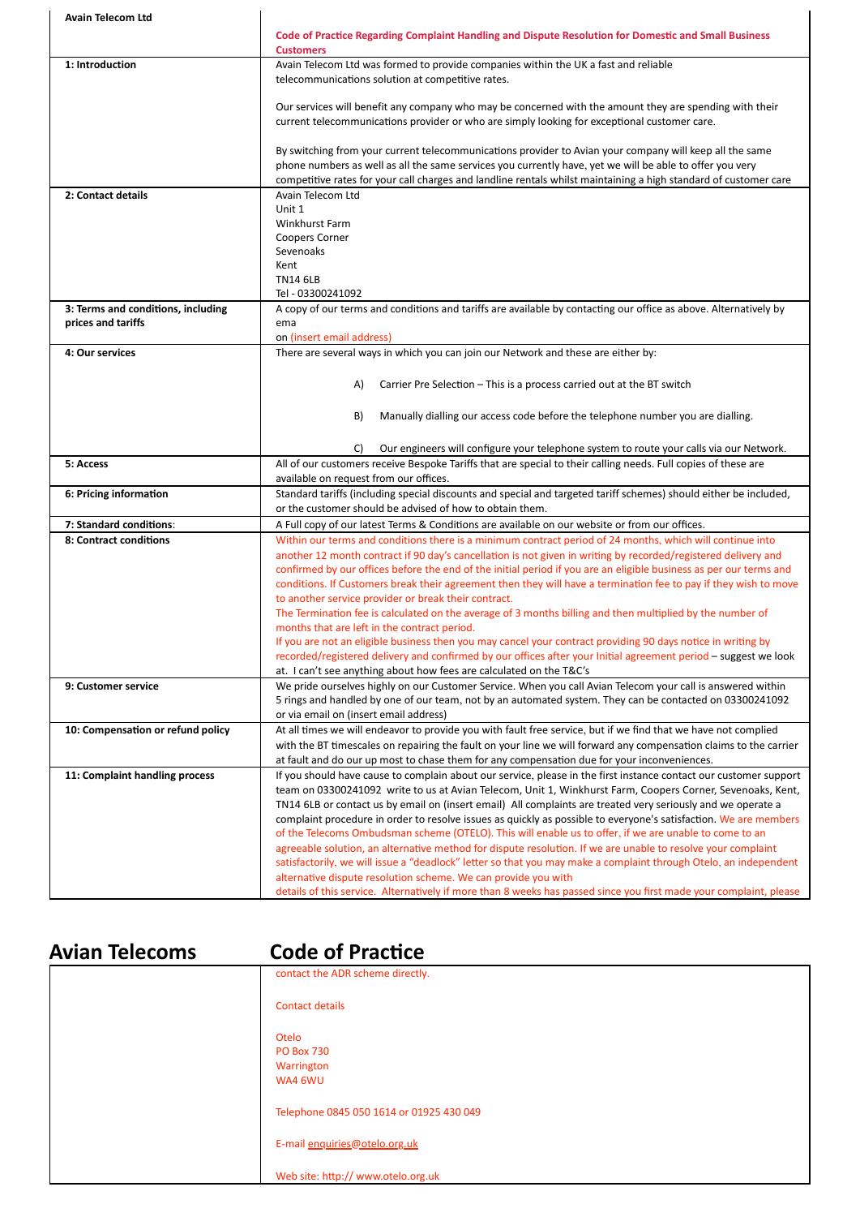| <b>Avain Telecom Ltd</b>           |                                                                                                                                                                                                                                      |
|------------------------------------|--------------------------------------------------------------------------------------------------------------------------------------------------------------------------------------------------------------------------------------|
|                                    | Code of Practice Regarding Complaint Handling and Dispute Resolution for Domestic and Small Business<br><b>Customers</b>                                                                                                             |
| 1: Introduction                    | Avain Telecom Ltd was formed to provide companies within the UK a fast and reliable                                                                                                                                                  |
|                                    | telecommunications solution at competitive rates.                                                                                                                                                                                    |
|                                    | Our services will benefit any company who may be concerned with the amount they are spending with their                                                                                                                              |
|                                    | current telecommunications provider or who are simply looking for exceptional customer care.                                                                                                                                         |
|                                    |                                                                                                                                                                                                                                      |
|                                    | By switching from your current telecommunications provider to Avian your company will keep all the same                                                                                                                              |
|                                    | phone numbers as well as all the same services you currently have, yet we will be able to offer you very                                                                                                                             |
|                                    | competitive rates for your call charges and landline rentals whilst maintaining a high standard of customer care                                                                                                                     |
| 2: Contact details                 | Avain Telecom Ltd<br>Unit 1                                                                                                                                                                                                          |
|                                    | Winkhurst Farm                                                                                                                                                                                                                       |
|                                    | <b>Coopers Corner</b>                                                                                                                                                                                                                |
|                                    | Sevenoaks                                                                                                                                                                                                                            |
|                                    | Kent                                                                                                                                                                                                                                 |
|                                    | <b>TN14 6LB</b><br>Tel - 03300241092                                                                                                                                                                                                 |
| 3: Terms and conditions, including | A copy of our terms and conditions and tariffs are available by contacting our office as above. Alternatively by                                                                                                                     |
| prices and tariffs                 | ema                                                                                                                                                                                                                                  |
|                                    | on (insert email address)                                                                                                                                                                                                            |
| 4: Our services                    | There are several ways in which you can join our Network and these are either by:                                                                                                                                                    |
|                                    |                                                                                                                                                                                                                                      |
|                                    | Carrier Pre Selection – This is a process carried out at the BT switch<br>A)                                                                                                                                                         |
|                                    |                                                                                                                                                                                                                                      |
|                                    | B)<br>Manually dialling our access code before the telephone number you are dialling.                                                                                                                                                |
|                                    |                                                                                                                                                                                                                                      |
| 5: Access                          | Our engineers will configure your telephone system to route your calls via our Network.<br>C)<br>All of our customers receive Bespoke Tariffs that are special to their calling needs. Full copies of these are                      |
|                                    | available on request from our offices.                                                                                                                                                                                               |
| 6: Pricing information             | Standard tariffs (including special discounts and special and targeted tariff schemes) should either be included,                                                                                                                    |
|                                    | or the customer should be advised of how to obtain them.                                                                                                                                                                             |
| 7: Standard conditions:            | A Full copy of our latest Terms & Conditions are available on our website or from our offices.                                                                                                                                       |
| 8: Contract conditions             | Within our terms and conditions there is a minimum contract period of 24 months, which will continue into                                                                                                                            |
|                                    | another 12 month contract if 90 day's cancellation is not given in writing by recorded/registered delivery and<br>confirmed by our offices before the end of the initial period if you are an eligible business as per our terms and |
|                                    | conditions. If Customers break their agreement then they will have a termination fee to pay if they wish to move                                                                                                                     |
|                                    | to another service provider or break their contract.                                                                                                                                                                                 |
|                                    | The Termination fee is calculated on the average of 3 months billing and then multiplied by the number of                                                                                                                            |
|                                    | months that are left in the contract period.                                                                                                                                                                                         |
|                                    | If you are not an eligible business then you may cancel your contract providing 90 days notice in writing by                                                                                                                         |
|                                    | recorded/registered delivery and confirmed by our offices after your Initial agreement period – suggest we look                                                                                                                      |
| 9: Customer service                | at. I can't see anything about how fees are calculated on the T&C's<br>We pride ourselves highly on our Customer Service. When you call Avian Telecom your call is answered within                                                   |
|                                    | 5 rings and handled by one of our team, not by an automated system. They can be contacted on 03300241092                                                                                                                             |
|                                    | or via email on (insert email address)                                                                                                                                                                                               |
| 10: Compensation or refund policy  | At all times we will endeavor to provide you with fault free service, but if we find that we have not complied                                                                                                                       |
|                                    | with the BT timescales on repairing the fault on your line we will forward any compensation claims to the carrier                                                                                                                    |
|                                    | at fault and do our up most to chase them for any compensation due for your inconveniences.                                                                                                                                          |
| 11: Complaint handling process     | If you should have cause to complain about our service, please in the first instance contact our customer support                                                                                                                    |
|                                    | team on 03300241092 write to us at Avian Telecom, Unit 1, Winkhurst Farm, Coopers Corner, Sevenoaks, Kent,<br>TN14 6LB or contact us by email on (insert email) All complaints are treated very seriously and we operate a           |
|                                    | complaint procedure in order to resolve issues as quickly as possible to everyone's satisfaction. We are members                                                                                                                     |
|                                    | of the Telecoms Ombudsman scheme (OTELO). This will enable us to offer, if we are unable to come to an                                                                                                                               |
|                                    | agreeable solution, an alternative method for dispute resolution. If we are unable to resolve your complaint                                                                                                                         |
|                                    | satisfactorily, we will issue a "deadlock" letter so that you may make a complaint through Otelo, an independent                                                                                                                     |
|                                    | alternative dispute resolution scheme. We can provide you with                                                                                                                                                                       |
|                                    | details of this service. Alternatively if more than 8 weeks has passed since you first made your complaint, please                                                                                                                   |

## **Avian Telecoms Code of Practice**

| contact the ADR scheme directly.                    |
|-----------------------------------------------------|
| <b>Contact details</b>                              |
| Otelo<br><b>PO Box 730</b><br>Warrington<br>WA4 6WU |
| Telephone 0845 050 1614 or 01925 430 049            |
| E-mail enquiries@otelo.org.uk                       |
| Web site: http:// www.otelo.org.uk                  |